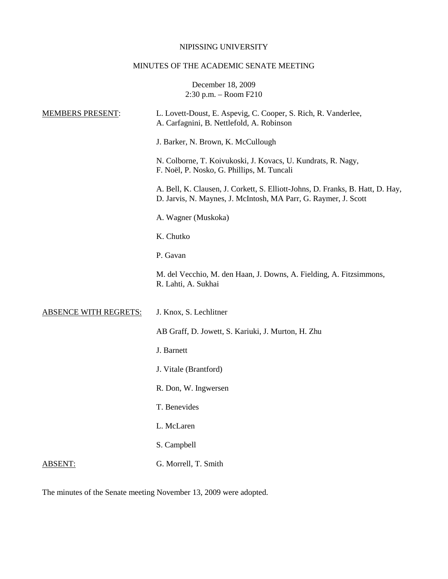#### NIPISSING UNIVERSITY

# MINUTES OF THE ACADEMIC SENATE MEETING

December 18, 2009 2:30 p.m. – Room F210

| <b>MEMBERS PRESENT:</b>      | L. Lovett-Doust, E. Aspevig, C. Cooper, S. Rich, R. Vanderlee,<br>A. Carfagnini, B. Nettlefold, A. Robinson                                       |
|------------------------------|---------------------------------------------------------------------------------------------------------------------------------------------------|
|                              | J. Barker, N. Brown, K. McCullough                                                                                                                |
|                              | N. Colborne, T. Koivukoski, J. Kovacs, U. Kundrats, R. Nagy,<br>F. Noël, P. Nosko, G. Phillips, M. Tuncali                                        |
|                              | A. Bell, K. Clausen, J. Corkett, S. Elliott-Johns, D. Franks, B. Hatt, D. Hay,<br>D. Jarvis, N. Maynes, J. McIntosh, MA Parr, G. Raymer, J. Scott |
|                              | A. Wagner (Muskoka)                                                                                                                               |
|                              | K. Chutko                                                                                                                                         |
|                              | P. Gavan                                                                                                                                          |
|                              | M. del Vecchio, M. den Haan, J. Downs, A. Fielding, A. Fitzsimmons,<br>R. Lahti, A. Sukhai                                                        |
| <b>ABSENCE WITH REGRETS:</b> | J. Knox, S. Lechlitner                                                                                                                            |
|                              | AB Graff, D. Jowett, S. Kariuki, J. Murton, H. Zhu                                                                                                |
|                              | J. Barnett                                                                                                                                        |
|                              | J. Vitale (Brantford)                                                                                                                             |
|                              | R. Don, W. Ingwersen                                                                                                                              |
|                              | T. Benevides                                                                                                                                      |
|                              | L. McLaren                                                                                                                                        |
|                              | S. Campbell                                                                                                                                       |
| <b>ABSENT:</b>               | G. Morrell, T. Smith                                                                                                                              |

The minutes of the Senate meeting November 13, 2009 were adopted.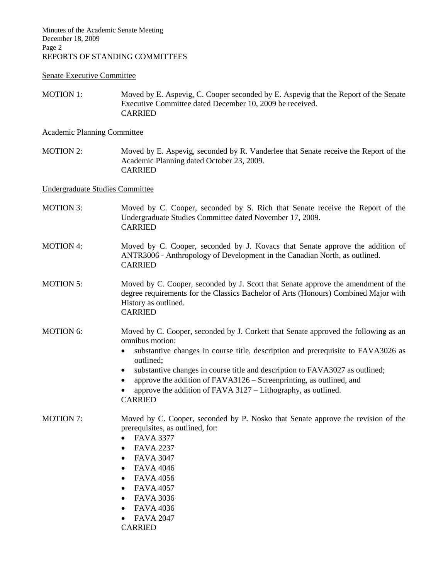# Senate Executive Committee

MOTION 1: Moved by E. Aspevig, C. Cooper seconded by E. Aspevig that the Report of the Senate Executive Committee dated December 10, 2009 be received. CARRIED

## Academic Planning Committee

MOTION 2: Moved by E. Aspevig, seconded by R. Vanderlee that Senate receive the Report of the Academic Planning dated October 23, 2009. CARRIED

### Undergraduate Studies Committee

| <b>MOTION 3:</b> | Moved by C. Cooper, seconded by S. Rich that Senate receive the Report of the<br>Undergraduate Studies Committee dated November 17, 2009.<br><b>CARRIED</b>                                                                                                                                                                                                                                                                                                         |
|------------------|---------------------------------------------------------------------------------------------------------------------------------------------------------------------------------------------------------------------------------------------------------------------------------------------------------------------------------------------------------------------------------------------------------------------------------------------------------------------|
| <b>MOTION 4:</b> | Moved by C. Cooper, seconded by J. Kovacs that Senate approve the addition of<br>ANTR3006 - Anthropology of Development in the Canadian North, as outlined.<br><b>CARRIED</b>                                                                                                                                                                                                                                                                                       |
| <b>MOTION 5:</b> | Moved by C. Cooper, seconded by J. Scott that Senate approve the amendment of the<br>degree requirements for the Classics Bachelor of Arts (Honours) Combined Major with<br>History as outlined.<br><b>CARRIED</b>                                                                                                                                                                                                                                                  |
| <b>MOTION 6:</b> | Moved by C. Cooper, seconded by J. Corkett that Senate approved the following as an<br>omnibus motion:<br>substantive changes in course title, description and prerequisite to FAVA3026 as<br>outlined;<br>substantive changes in course title and description to FAVA3027 as outlined;<br>٠<br>approve the addition of FAVA3126 – Screenprinting, as outlined, and<br>$\bullet$<br>approve the addition of FAVA 3127 - Lithography, as outlined.<br><b>CARRIED</b> |
| <b>MOTION 7:</b> | Moved by C. Cooper, seconded by P. Nosko that Senate approve the revision of the<br>prerequisites, as outlined, for:<br><b>FAVA 3377</b><br>$\bullet$<br><b>FAVA 2237</b><br>$\bullet$<br><b>FAVA 3047</b><br>$\bullet$<br><b>FAVA 4046</b><br>$\bullet$<br><b>FAVA 4056</b><br>$\bullet$<br><b>FAVA 4057</b><br>$\bullet$<br><b>FAVA 3036</b><br>$\bullet$<br><b>FAVA 4036</b><br>$\bullet$<br><b>FAVA 2047</b><br><b>CARRIED</b>                                  |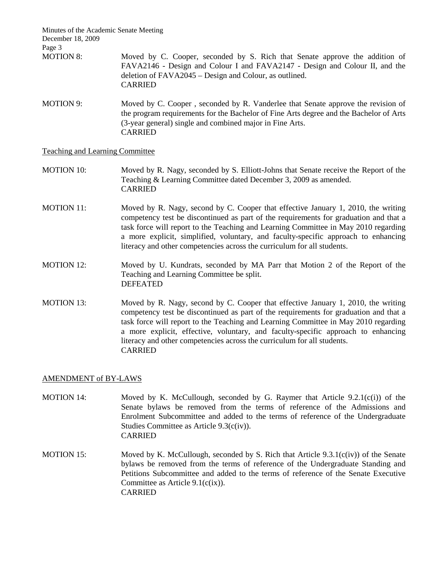Minutes of the Academic Senate Meeting December 18, 2009 Page 3 MOTION 8: Moved by C. Cooper, seconded by S. Rich that Senate approve the addition of FAVA2146 - Design and Colour I and FAVA2147 - Design and Colour II, and the deletion of FAVA2045 – Design and Colour, as outlined. CARRIED MOTION 9: Moved by C. Cooper, seconded by R. Vanderlee that Senate approve the revision of

the program requirements for the Bachelor of Fine Arts degree and the Bachelor of Arts (3-year general) single and combined major in Fine Arts. CARRIED

## Teaching and Learning Committee

- MOTION 10: Moved by R. Nagy, seconded by S. Elliott-Johns that Senate receive the Report of the Teaching & Learning Committee dated December 3, 2009 as amended. CARRIED
- MOTION 11: Moved by R. Nagy, second by C. Cooper that effective January 1, 2010, the writing competency test be discontinued as part of the requirements for graduation and that a task force will report to the Teaching and Learning Committee in May 2010 regarding a more explicit, simplified, voluntary, and faculty-specific approach to enhancing literacy and other competencies across the curriculum for all students.
- MOTION 12: Moved by U. Kundrats, seconded by MA Parr that Motion 2 of the Report of the Teaching and Learning Committee be split. DEFEATED
- MOTION 13: Moved by R. Nagy, second by C. Cooper that effective January 1, 2010, the writing competency test be discontinued as part of the requirements for graduation and that a task force will report to the Teaching and Learning Committee in May 2010 regarding a more explicit, effective, voluntary, and faculty-specific approach to enhancing literacy and other competencies across the curriculum for all students. CARRIED

#### AMENDMENT of BY-LAWS

- MOTION 14: Moved by K. McCullough, seconded by G. Raymer that Article  $9.2.1(c(i))$  of the Senate bylaws be removed from the terms of reference of the Admissions and Enrolment Subcommittee and added to the terms of reference of the Undergraduate Studies Committee as Article 9.3(c(iv)). CARRIED
- MOTION 15: Moved by K. McCullough, seconded by S. Rich that Article 9.3.1(c(iv)) of the Senate bylaws be removed from the terms of reference of the Undergraduate Standing and Petitions Subcommittee and added to the terms of reference of the Senate Executive Committee as Article 9.1(c(ix)). CARRIED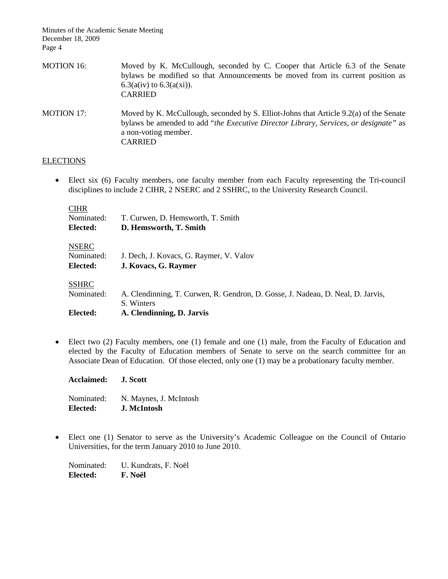Minutes of the Academic Senate Meeting December 18, 2009 Page 4

| <b>MOTION 16:</b> | Moved by K. McCullough, seconded by C. Cooper that Article 6.3 of the Senate<br>bylaws be modified so that Announcements be moved from its current position as<br>$6.3(a(iv)$ to $6.3(a(xi))$ .<br><b>CARRIED</b>       |
|-------------------|-------------------------------------------------------------------------------------------------------------------------------------------------------------------------------------------------------------------------|
| <b>MOTION 17:</b> | Moved by K. McCullough, seconded by S. Elliot-Johns that Article 9.2(a) of the Senate<br>bylaws be amended to add "the Executive Director Library, Services, or designate" as<br>a non-voting member.<br><b>CARRIED</b> |

# **ELECTIONS**

• Elect six (6) Faculty members, one faculty member from each Faculty representing the Tri-council disciplines to include 2 CIHR, 2 NSERC and 2 SSHRC, to the University Research Council.

## **CIHR**

| $\ddotsc$<br>Nominated: | T. Curwen, D. Hemsworth, T. Smith                                               |
|-------------------------|---------------------------------------------------------------------------------|
| Elected:                | D. Hemsworth, T. Smith                                                          |
| <b>NSERC</b>            |                                                                                 |
| Nominated:              | J. Dech, J. Kovacs, G. Raymer, V. Valov                                         |
| Elected:                | J. Kovacs, G. Raymer                                                            |
| <b>SSHRC</b>            |                                                                                 |
| Nominated:              | A. Clendinning, T. Curwen, R. Gendron, D. Gosse, J. Nadeau, D. Neal, D. Jarvis, |
|                         | S. Winters                                                                      |
| Elected:                | A. Clendinning, D. Jarvis                                                       |

• Elect two (2) Faculty members, one (1) female and one (1) male, from the Faculty of Education and elected by the Faculty of Education members of Senate to serve on the search committee for an Associate Dean of Education. Of those elected, only one (1) may be a probationary faculty member.

Nominated: N. Maynes, J. McIntosh **Elected: J. McIntosh**

**Acclaimed: J. Scott**

• Elect one (1) Senator to serve as the University's Academic Colleague on the Council of Ontario Universities, for the term January 2010 to June 2010.

Nominated: U. Kundrats, F. Noël **Elected: F. Noël**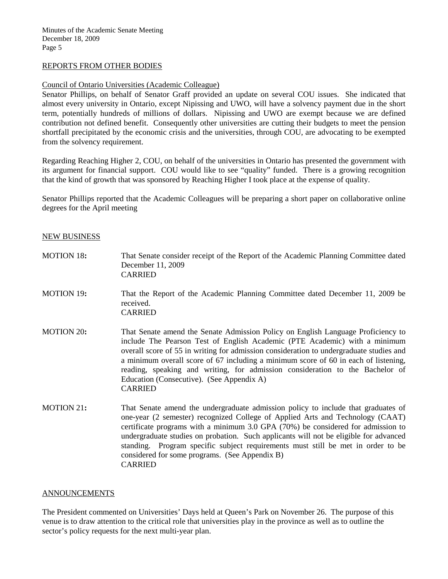# REPORTS FROM OTHER BODIES

# Council of Ontario Universities (Academic Colleague)

Senator Phillips, on behalf of Senator Graff provided an update on several COU issues. She indicated that almost every university in Ontario, except Nipissing and UWO, will have a solvency payment due in the short term, potentially hundreds of millions of dollars. Nipissing and UWO are exempt because we are defined contribution not defined benefit. Consequently other universities are cutting their budgets to meet the pension shortfall precipitated by the economic crisis and the universities, through COU, are advocating to be exempted from the solvency requirement.

Regarding Reaching Higher 2, COU, on behalf of the universities in Ontario has presented the government with its argument for financial support. COU would like to see "quality" funded. There is a growing recognition that the kind of growth that was sponsored by Reaching Higher I took place at the expense of quality.

Senator Phillips reported that the Academic Colleagues will be preparing a short paper on collaborative online degrees for the April meeting

#### NEW BUSINESS

| <b>MOTION 18:</b> | That Senate consider receipt of the Report of the Academic Planning Committee dated<br>December 11, 2009<br><b>CARRIED</b>                                                                                                                                                                                                                                                                                                                                                                               |
|-------------------|----------------------------------------------------------------------------------------------------------------------------------------------------------------------------------------------------------------------------------------------------------------------------------------------------------------------------------------------------------------------------------------------------------------------------------------------------------------------------------------------------------|
| <b>MOTION 19:</b> | That the Report of the Academic Planning Committee dated December 11, 2009 be<br>received.<br><b>CARRIED</b>                                                                                                                                                                                                                                                                                                                                                                                             |
| <b>MOTION 20:</b> | That Senate amend the Senate Admission Policy on English Language Proficiency to<br>include The Pearson Test of English Academic (PTE Academic) with a minimum<br>overall score of 55 in writing for admission consideration to undergraduate studies and<br>a minimum overall score of 67 including a minimum score of 60 in each of listening,<br>reading, speaking and writing, for admission consideration to the Bachelor of<br>Education (Consecutive). (See Appendix A)<br><b>CARRIED</b>         |
| MOTION 21:        | That Senate amend the undergraduate admission policy to include that graduates of<br>one-year (2 semester) recognized College of Applied Arts and Technology (CAAT)<br>certificate programs with a minimum 3.0 GPA (70%) be considered for admission to<br>undergraduate studies on probation. Such applicants will not be eligible for advanced<br>standing. Program specific subject requirements must still be met in order to be<br>considered for some programs. (See Appendix B)<br><b>CARRIED</b> |

#### ANNOUNCEMENTS

The President commented on Universities' Days held at Queen's Park on November 26. The purpose of this venue is to draw attention to the critical role that universities play in the province as well as to outline the sector's policy requests for the next multi-year plan.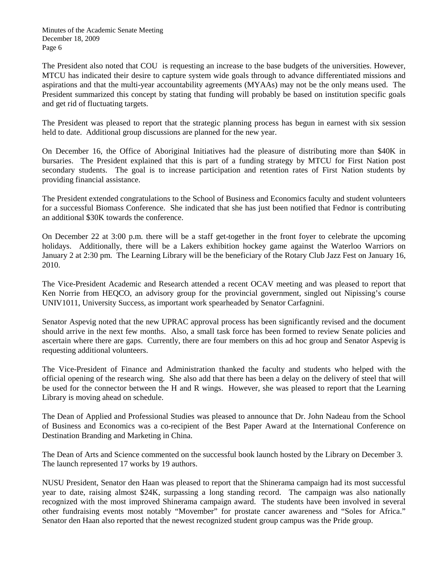The President also noted that COU is requesting an increase to the base budgets of the universities. However, MTCU has indicated their desire to capture system wide goals through to advance differentiated missions and aspirations and that the multi-year accountability agreements (MYAAs) may not be the only means used. The President summarized this concept by stating that funding will probably be based on institution specific goals and get rid of fluctuating targets.

The President was pleased to report that the strategic planning process has begun in earnest with six session held to date. Additional group discussions are planned for the new year.

On December 16, the Office of Aboriginal Initiatives had the pleasure of distributing more than \$40K in bursaries. The President explained that this is part of a funding strategy by MTCU for First Nation post secondary students. The goal is to increase participation and retention rates of First Nation students by providing financial assistance.

The President extended congratulations to the School of Business and Economics faculty and student volunteers for a successful Biomass Conference. She indicated that she has just been notified that Fednor is contributing an additional \$30K towards the conference.

On December 22 at 3:00 p.m. there will be a staff get-together in the front foyer to celebrate the upcoming holidays. Additionally, there will be a Lakers exhibition hockey game against the Waterloo Warriors on January 2 at 2:30 pm. The Learning Library will be the beneficiary of the Rotary Club Jazz Fest on January 16, 2010.

The Vice-President Academic and Research attended a recent OCAV meeting and was pleased to report that Ken Norrie from HEQCO, an advisory group for the provincial government, singled out Nipissing's course UNIV1011, University Success, as important work spearheaded by Senator Carfagnini.

Senator Aspevig noted that the new UPRAC approval process has been significantly revised and the document should arrive in the next few months. Also, a small task force has been formed to review Senate policies and ascertain where there are gaps. Currently, there are four members on this ad hoc group and Senator Aspevig is requesting additional volunteers.

The Vice-President of Finance and Administration thanked the faculty and students who helped with the official opening of the research wing. She also add that there has been a delay on the delivery of steel that will be used for the connector between the H and R wings. However, she was pleased to report that the Learning Library is moving ahead on schedule.

The Dean of Applied and Professional Studies was pleased to announce that Dr. John Nadeau from the School of Business and Economics was a co-recipient of the Best Paper Award at the International Conference on Destination Branding and Marketing in China.

The Dean of Arts and Science commented on the successful book launch hosted by the Library on December 3. The launch represented 17 works by 19 authors.

NUSU President, Senator den Haan was pleased to report that the Shinerama campaign had its most successful year to date, raising almost \$24K, surpassing a long standing record. The campaign was also nationally recognized with the most improved Shinerama campaign award. The students have been involved in several other fundraising events most notably "Movember" for prostate cancer awareness and "Soles for Africa." Senator den Haan also reported that the newest recognized student group campus was the Pride group.